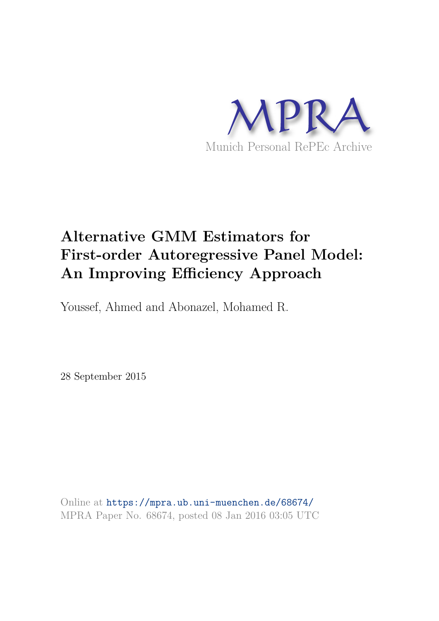

# **Alternative GMM Estimators for First-order Autoregressive Panel Model: An Improving Efficiency Approach**

Youssef, Ahmed and Abonazel, Mohamed R.

28 September 2015

Online at https://mpra.ub.uni-muenchen.de/68674/ MPRA Paper No. 68674, posted 08 Jan 2016 03:05 UTC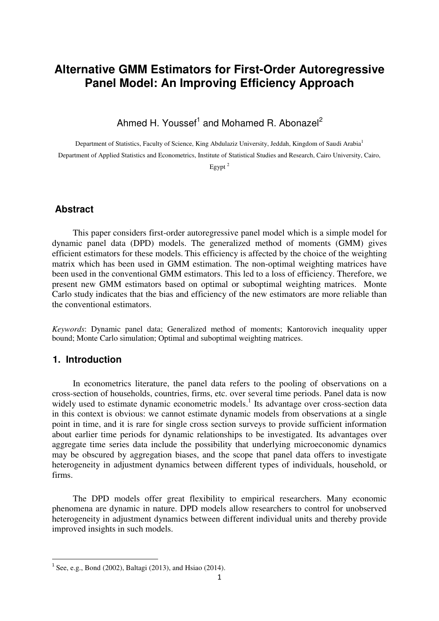# **Alternative GMM Estimators for First-Order Autoregressive Panel Model: An Improving Efficiency Approach**

Ahmed H. Youssef<sup>1</sup> and Mohamed R. Abonazel<sup>2</sup>

Department of Statistics, Faculty of Science, King Abdulaziz University, Jeddah, Kingdom of Saudi Arabia<sup>1</sup> Department of Applied Statistics and Econometrics, Institute of Statistical Studies and Research, Cairo University, Cairo,

Egypt <sup>2</sup>

### **Abstract**

This paper considers first-order autoregressive panel model which is a simple model for dynamic panel data (DPD) models. The generalized method of moments (GMM) gives efficient estimators for these models. This efficiency is affected by the choice of the weighting matrix which has been used in GMM estimation. The non-optimal weighting matrices have been used in the conventional GMM estimators. This led to a loss of efficiency. Therefore, we present new GMM estimators based on optimal or suboptimal weighting matrices. Monte Carlo study indicates that the bias and efficiency of the new estimators are more reliable than the conventional estimators.

*Keywords*: Dynamic panel data; Generalized method of moments; Kantorovich inequality upper bound; Monte Carlo simulation; Optimal and suboptimal weighting matrices.

## **1. Introduction**

l

In econometrics literature, the panel data refers to the pooling of observations on a cross-section of households, countries, firms, etc. over several time periods. Panel data is now widely used to estimate dynamic econometric models.<sup>1</sup> Its advantage over cross-section data in this context is obvious: we cannot estimate dynamic models from observations at a single point in time, and it is rare for single cross section surveys to provide sufficient information about earlier time periods for dynamic relationships to be investigated. Its advantages over aggregate time series data include the possibility that underlying microeconomic dynamics may be obscured by aggregation biases, and the scope that panel data offers to investigate heterogeneity in adjustment dynamics between different types of individuals, household, or firms.

The DPD models offer great flexibility to empirical researchers. Many economic phenomena are dynamic in nature. DPD models allow researchers to control for unobserved heterogeneity in adjustment dynamics between different individual units and thereby provide improved insights in such models.

 $1$  See, e.g., Bond (2002), Baltagi (2013), and Hsiao (2014).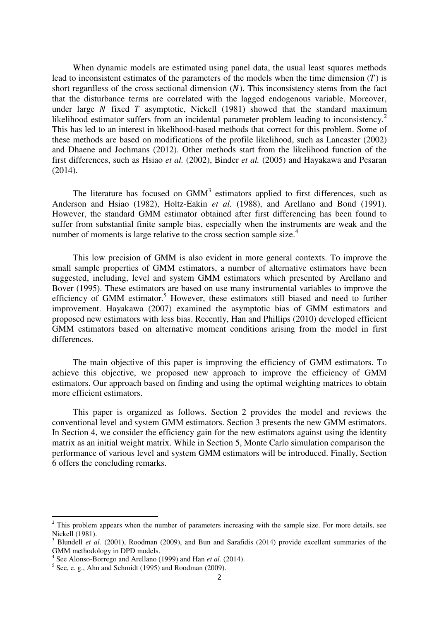When dynamic models are estimated using panel data, the usual least squares methods lead to inconsistent estimates of the parameters of the models when the time dimension  $(T)$  is short regardless of the cross sectional dimension  $(N)$ . This inconsistency stems from the fact that the disturbance terms are correlated with the lagged endogenous variable. Moreover, under large  $N$  fixed  $T$  asymptotic, Nickell (1981) showed that the standard maximum likelihood estimator suffers from an incidental parameter problem leading to inconsistency.<sup>2</sup> This has led to an interest in likelihood-based methods that correct for this problem. Some of these methods are based on modifications of the profile likelihood, such as Lancaster (2002) and Dhaene and Jochmans (2012). Other methods start from the likelihood function of the first differences, such as Hsiao *et al.* (2002), Binder *et al.* (2005) and Hayakawa and Pesaran (2014).

The literature has focused on  $GMM<sup>3</sup>$  estimators applied to first differences, such as Anderson and Hsiao (1982), Holtz-Eakin *et al.* (1988), and Arellano and Bond (1991). However, the standard GMM estimator obtained after first differencing has been found to suffer from substantial finite sample bias, especially when the instruments are weak and the number of moments is large relative to the cross section sample size.<sup>4</sup>

This low precision of GMM is also evident in more general contexts. To improve the small sample properties of GMM estimators, a number of alternative estimators have been suggested, including, level and system GMM estimators which presented by Arellano and Bover (1995). These estimators are based on use many instrumental variables to improve the efficiency of GMM estimator.<sup>5</sup> However, these estimators still biased and need to further improvement. Hayakawa (2007) examined the asymptotic bias of GMM estimators and proposed new estimators with less bias. Recently, Han and Phillips (2010) developed efficient GMM estimators based on alternative moment conditions arising from the model in first differences.

The main objective of this paper is improving the efficiency of GMM estimators. To achieve this objective, we proposed new approach to improve the efficiency of GMM estimators. Our approach based on finding and using the optimal weighting matrices to obtain more efficient estimators.

This paper is organized as follows. Section 2 provides the model and reviews the conventional level and system GMM estimators. Section 3 presents the new GMM estimators. In Section 4, we consider the efficiency gain for the new estimators against using the identity matrix as an initial weight matrix. While in Section 5, Monte Carlo simulation comparison the performance of various level and system GMM estimators will be introduced. Finally, Section 6 offers the concluding remarks.

 $\overline{\phantom{0}}$ 

<sup>&</sup>lt;sup>2</sup> This problem appears when the number of parameters increasing with the sample size. For more details, see Nickell (1981).

<sup>&</sup>lt;sup>3</sup> Blundell *et al.* (2001), Roodman (2009), and Bun and Sarafidis (2014) provide excellent summaries of the GMM methodology in DPD models. 4 See Alonso-Borrego and Arellano (1999) and Han *et al.* (2014).

 $<sup>5</sup>$  See, e. g., Ahn and Schmidt (1995) and Roodman (2009).</sup>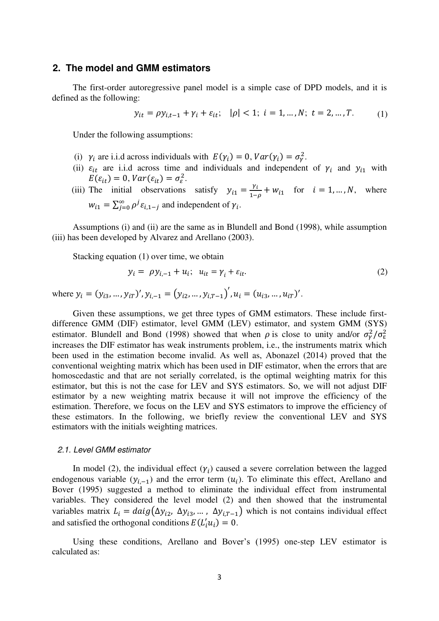#### **2. The model and GMM estimators**

The first-order autoregressive panel model is a simple case of DPD models, and it is defined as the following:

$$
y_{it} = \rho y_{i,t-1} + \gamma_i + \varepsilon_{it}; \quad |\rho| < 1; \ i = 1, \dots, N; \ t = 2, \dots, T. \tag{1}
$$

Under the following assumptions:

- (i)  $\gamma_i$  are i.i.d across individuals with  $E(\gamma_i) = 0$ ,  $Var(\gamma_i) = \sigma_{\gamma}^2$ .
- (ii)  $\varepsilon_{it}$  are i.i.d across time and individuals and independent of  $\gamma_i$  and  $y_{i1}$  with  $E(\varepsilon_{it}) = 0$ ,  $Var(\varepsilon_{it}) = \sigma_{\varepsilon}^2$ .
- (iii) The initial observations satisfy  $y_{i1} = \frac{y}{i}$  $\frac{v_i}{1-\rho} + w_{i1}$  for  $i = 1, ..., N$ , where  $w_{i1} = \sum_{j=0}^{\infty} \rho^{j} \varepsilon_{i,1-j}$  and independent of  $\gamma_i$ .

Assumptions (i) and (ii) are the same as in Blundell and Bond (1998), while assumption (iii) has been developed by Alvarez and Arellano (2003).

Stacking equation (1) over time, we obtain

$$
y_i = \rho y_{i,-1} + u_i; \quad u_{it} = \gamma_i + \varepsilon_{it}. \tag{2}
$$

where  $y_i = (y_{i3}, ..., y_{iT})'$ ,  $y_{i,-1} = (y_{i2}, ..., y_{i,T-1})'$ ,  $u_i = (u_{i3}, ..., u_{iT})'$ .

Given these assumptions, we get three types of GMM estimators. These include firstdifference GMM (DIF) estimator, level GMM (LEV) estimator, and system GMM (SYS) estimator. Blundell and Bond (1998) showed that when  $\rho$  is close to unity and/or  $\sigma_{\gamma}^2/\sigma_{\epsilon}^2$ increases the DIF estimator has weak instruments problem, i.e., the instruments matrix which been used in the estimation become invalid. As well as, Abonazel (2014) proved that the conventional weighting matrix which has been used in DIF estimator, when the errors that are homoscedastic and that are not serially correlated, is the optimal weighting matrix for this estimator, but this is not the case for LEV and SYS estimators. So, we will not adjust DIF estimator by a new weighting matrix because it will not improve the efficiency of the estimation. Therefore, we focus on the LEV and SYS estimators to improve the efficiency of these estimators. In the following, we briefly review the conventional LEV and SYS estimators with the initials weighting matrices.

#### *2.1. Level GMM estimator*

In model (2), the individual effect  $(\gamma_i)$  caused a severe correlation between the lagged endogenous variable  $(y_{i,-1})$  and the error term  $(u_i)$ . To eliminate this effect, Arellano and Bover (1995) suggested a method to eliminate the individual effect from instrumental variables. They considered the level model (2) and then showed that the instrumental variables matrix  $L_i = daig(\Delta y_{i2}, \Delta y_{i3}, \dots, \Delta y_{i,T-1})$  which is not contains individual effect and satisfied the orthogonal conditions  $E(L'_i u_i) = 0$ .

Using these conditions, Arellano and Bover's (1995) one-step LEV estimator is calculated as: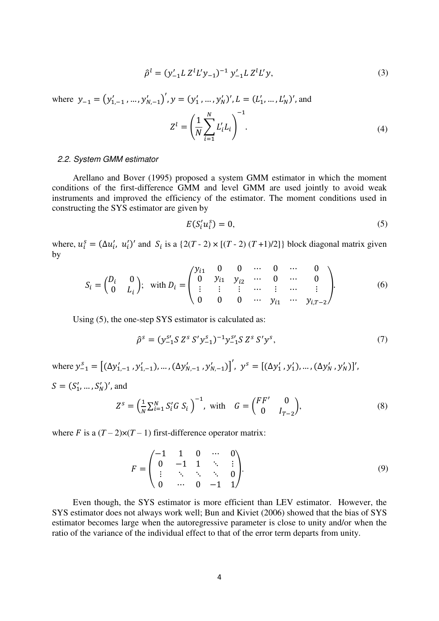$$
\hat{\rho}^l = (y'_{-1} L Z^l L' y_{-1})^{-1} y'_{-1} L Z^l L' y,\tag{3}
$$

where  $y_{-1} = (y'_{1,-1},..., y'_{N,-1})'$ ,  $y = (y'_{1},..., y'_{N})'$ ,  $L = (L'_{1},..., L'_{N})'$ , and

$$
Z^{l} = \left(\frac{1}{N} \sum_{i=1}^{N} L'_{i} L_{i}\right)^{-1}.
$$
\n(4)

#### *2.2. System GMM estimator*

Arellano and Bover (1995) proposed a system GMM estimator in which the moment conditions of the first-difference GMM and level GMM are used jointly to avoid weak instruments and improved the efficiency of the estimator. The moment conditions used in constructing the SYS estimator are given by

$$
E(S_i^{\prime} u_i^s) = 0,\t\t(5)
$$

where,  $u_i^s = (\Delta u_i', u_i')'$  and  $S_i$  is a  $\{2(T - 2) \times [(T - 2) (T + 1)/2]\}$  block diagonal matrix given by

$$
S_i = \begin{pmatrix} D_i & 0 \\ 0 & L_i \end{pmatrix}; \text{ with } D_i = \begin{pmatrix} y_{i1} & 0 & 0 & \cdots & 0 & \cdots & 0 \\ 0 & y_{i1} & y_{i2} & \cdots & 0 & \cdots & 0 \\ \vdots & \vdots & \vdots & \cdots & \vdots & \cdots & \vdots \\ 0 & 0 & 0 & \cdots & y_{i1} & \cdots & y_{i,T-2} \end{pmatrix}.
$$
 (6)

Using (5), the one-step SYS estimator is calculated as:

$$
\hat{\rho}^s = (y_{-1}^{s'} S Z^s S' y_{-1}^s)^{-1} y_{-1}^{s'} S Z^s S' y^s, \tag{7}
$$

where  $y_{-1}^s = [(\Delta y'_{1,-1}, y'_{1,-1}), ..., (\Delta y'_{N,-1}, y'_{N,-1})]'$ ,  $y^s = [(\Delta y'_1, y'_1), ..., (\Delta y'_N, y'_N)]'$ ,  $S = (S'_1, ..., S'_N)'$ , and

$$
Z^{s} = \left(\frac{1}{N} \sum_{i=1}^{N} S_{i}^{'} G S_{i}\right)^{-1}, \text{ with } G = \begin{pmatrix} FF' & 0\\ 0 & I_{T-2} \end{pmatrix},
$$
 (8)

where F is a  $(T - 2) \times (T - 1)$  first-difference operator matrix:

$$
F = \begin{pmatrix} -1 & 1 & 0 & \cdots & 0 \\ 0 & -1 & 1 & \ddots & \vdots \\ \vdots & \ddots & \ddots & \ddots & 0 \\ 0 & \cdots & 0 & -1 & 1 \end{pmatrix}.
$$
 (9)

Even though, the SYS estimator is more efficient than LEV estimator. However, the SYS estimator does not always work well; Bun and Kiviet (2006) showed that the bias of SYS estimator becomes large when the autoregressive parameter is close to unity and/or when the ratio of the variance of the individual effect to that of the error term departs from unity.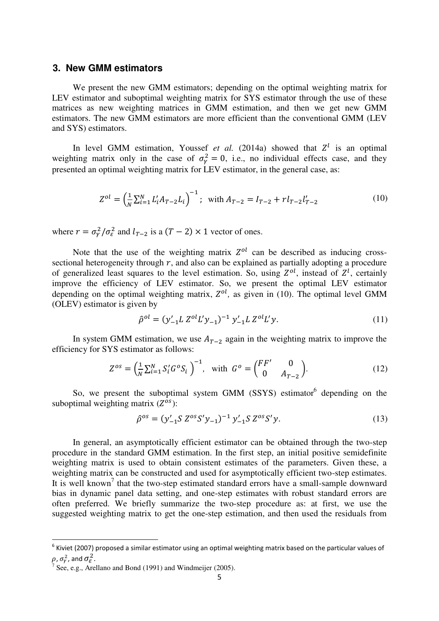#### **3. New GMM estimators**

We present the new GMM estimators; depending on the optimal weighting matrix for LEV estimator and suboptimal weighting matrix for SYS estimator through the use of these matrices as new weighting matrices in GMM estimation, and then we get new GMM estimators. The new GMM estimators are more efficient than the conventional GMM (LEV and SYS) estimators.

In level GMM estimation, Youssef *et al.* (2014a) showed that  $Z<sup>l</sup>$  is an optimal weighting matrix only in the case of  $\sigma_{\gamma}^2 = 0$ , i.e., no individual effects case, and they presented an optimal weighting matrix for LEV estimator, in the general case, as:

$$
Z^{ol} = \left(\frac{1}{N} \sum_{i=1}^{N} L'_i A_{T-2} L_i\right)^{-1}; \text{ with } A_{T-2} = I_{T-2} + r l_{T-2} l'_{T-2}
$$
 (10)

where  $r = \sigma_Y^2 / \sigma_{\varepsilon}^2$  and  $l_{T-2}$  is a  $(T - 2) \times 1$  vector of ones.

Note that the use of the weighting matrix  $Z^{ol}$  can be described as inducing crosssectional heterogeneity through  $r$ , and also can be explained as partially adopting a procedure of generalized least squares to the level estimation. So, using  $Z^{ol}$ , instead of  $Z^{l}$ , certainly improve the efficiency of LEV estimator. So, we present the optimal LEV estimator depending on the optimal weighting matrix,  $Z^{ol}$ , as given in (10). The optimal level GMM (OLEV) estimator is given by

$$
\hat{\rho}^{ol} = (y'_{-1} L Z^{ol} L' y_{-1})^{-1} y'_{-1} L Z^{ol} L' y. \tag{11}
$$

In system GMM estimation, we use  $A_{T-2}$  again in the weighting matrix to improve the efficiency for SYS estimator as follows:

$$
Z^{os} = \left(\frac{1}{N} \sum_{i=1}^{N} S_i' G^o S_i\right)^{-1}, \text{ with } G^o = \begin{pmatrix} FF' & 0\\ 0 & A_{T-2} \end{pmatrix}.
$$
 (12)

So, we present the suboptimal system GMM (SSYS) estimator depending on the suboptimal weighting matrix  $(Z^{os})$ :

$$
\hat{\rho}^{os} = (y'_{-1} S Z^{os} S' y_{-1})^{-1} y'_{-1} S Z^{os} S' y. \tag{13}
$$

In general, an asymptotically efficient estimator can be obtained through the two-step procedure in the standard GMM estimation. In the first step, an initial positive semidefinite weighting matrix is used to obtain consistent estimates of the parameters. Given these, a weighting matrix can be constructed and used for asymptotically efficient two-step estimates. It is well known<sup>7</sup> that the two-step estimated standard errors have a small-sample downward bias in dynamic panel data setting, and one-step estimates with robust standard errors are often preferred. We briefly summarize the two-step procedure as: at first, we use the suggested weighting matrix to get the one-step estimation, and then used the residuals from

 $\overline{a}$ 

 $^6$  Kiviet (2007) proposed a similar estimator using an optimal weighting matrix based on the particular values of  $\rho$ ,  $\sigma_{\!\scriptscriptstyle\gamma}^2$ , and  $\sigma_{\!\scriptscriptstyle\cal E}^2$ .

<sup>&</sup>lt;sup>7</sup> See, e.g., Arellano and Bond (1991) and Windmeijer (2005).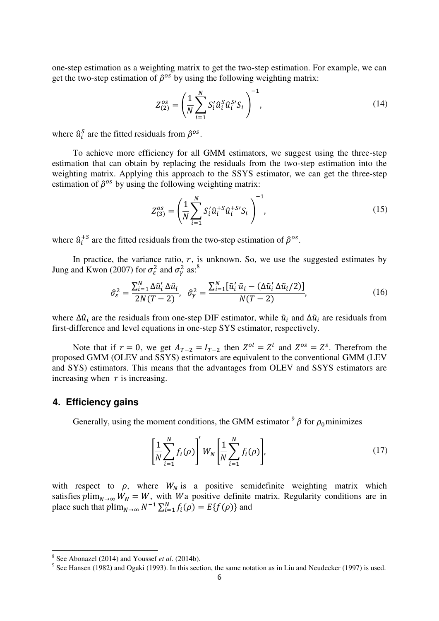one-step estimation as a weighting matrix to get the two-step estimation. For example, we can get the two-step estimation of  $\hat{\rho}^{os}$  by using the following weighting matrix:

$$
Z_{(2)}^{os} = \left(\frac{1}{N} \sum_{i=1}^{N} S_i' \hat{u}_i^S \hat{u}_i^{S'} S_i\right)^{-1},
$$
\n(14)

where  $\hat{u}_i^S$  are the fitted residuals from  $\hat{\rho}^{os}$ .

To achieve more efficiency for all GMM estimators, we suggest using the three-step estimation that can obtain by replacing the residuals from the two-step estimation into the weighting matrix. Applying this approach to the SSYS estimator, we can get the three-step estimation of  $\hat{\rho}^{os}$  by using the following weighting matrix:

$$
Z_{(3)}^{os} = \left(\frac{1}{N} \sum_{i=1}^{N} S_i' \hat{u}_i^{S} \hat{u}_i^{S} S_i\right)^{-1},
$$
\n(15)

where  $\hat{u}_i^{+S}$  are the fitted residuals from the two-step estimation of  $\hat{\rho}^{os}$ .

In practice, the variance ratio,  $r$ , is unknown. So, we use the suggested estimates by Jung and Kwon (2007) for  $\sigma_{\varepsilon}^2$  and  $\sigma_{\varepsilon}^2$  as:<sup>8</sup>

$$
\hat{\sigma}_{\varepsilon}^{2} = \frac{\sum_{i=1}^{N} \Delta \hat{u}_{i}^{\prime} \Delta \hat{u}_{i}}{2N(T-2)}, \quad \hat{\sigma}_{\gamma}^{2} = \frac{\sum_{i=1}^{N} [\tilde{u}_{i}^{\prime} \tilde{u}_{i} - (\Delta \tilde{u}_{i}^{\prime} \Delta \tilde{u}_{i}/2)]}{N(T-2)},\tag{16}
$$

where  $\Delta \hat{u}_i$  are the residuals from one-step DIF estimator, while  $\tilde{u}_i$  and  $\Delta \tilde{u}_i$  are residuals from first-difference and level equations in one-step SYS estimator, respectively.

Note that if  $r = 0$ , we get  $A_{T-2} = I_{T-2}$  then  $Z^{0i} = Z^i$  and  $Z^{0s} = Z^s$ . Therefrom the proposed GMM (OLEV and SSYS) estimators are equivalent to the conventional GMM (LEV and SYS) estimators. This means that the advantages from OLEV and SSYS estimators are increasing when  $r$  is increasing.

#### **4. Efficiency gains**

Generally, using the moment conditions, the GMM estimator  $9\hat{\rho}$  for  $\rho_0$  minimizes

$$
\left[\frac{1}{N}\sum_{i=1}^{N}f_i(\rho)\right]'W_N\left[\frac{1}{N}\sum_{i=1}^{N}f_i(\rho)\right],\tag{17}
$$

with respect to  $\rho$ , where  $W_N$  is a positive semidefinite weighting matrix which satisfies  $plim_{N\to\infty} W_N = W$ , with Wa positive definite matrix. Regularity conditions are in place such that  $plim_{N\to\infty} N^{-1} \sum_{i=1}^{N} f_i(\rho) = E\{f(\rho)\}\$ and

<sup>&</sup>lt;sup>8</sup> See Abonazel (2014) and Youssef *et al.* (2014b).<br><sup>9</sup> See Hansen (1982) and Ogaki (1993). In this section, the same notation as in Liu and Neudecker (1997) is used.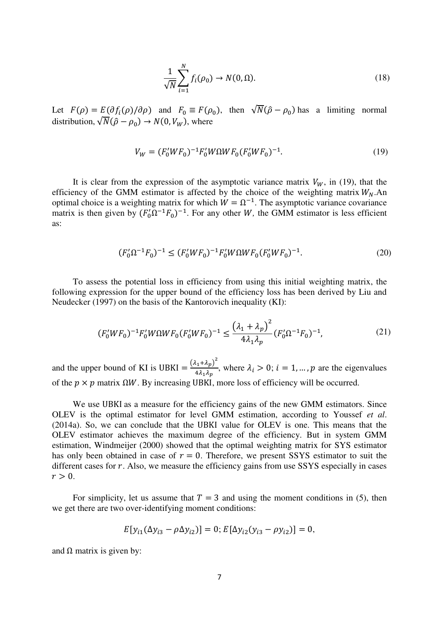$$
\frac{1}{\sqrt{N}}\sum_{i=1}^{N}f_i(\rho_0)\to N(0,\Omega). \tag{18}
$$

Let  $F(\rho) = E(\partial f_i(\rho)/\partial \rho)$  and  $F_0 \equiv F(\rho_0)$ , then  $\sqrt{N(\hat{\rho} - \rho_0)}$  has a limiting normal distribution,  $\sqrt{N(\hat{\rho} - \rho_0)} \rightarrow N(0, V_W)$ , where

$$
V_W = (F_0' W F_0)^{-1} F_0' W \Omega W F_0 (F_0' W F_0)^{-1}.
$$
\n(19)

It is clear from the expression of the asymptotic variance matrix  $V_W$ , in (19), that the efficiency of the GMM estimator is affected by the choice of the weighting matrix  $W_N$ .An optimal choice is a weighting matrix for which  $W = \Omega^{-1}$ . The asymptotic variance covariance matrix is then given by  $(F_0^{\prime} \Omega^{-1} F_0)^{-1}$ . For any other *W*, the GMM estimator is less efficient as:

$$
(F_0'\Omega^{-1}F_0)^{-1} \le (F_0'WF_0)^{-1}F_0'W\Omega WF_0(F_0'WF_0)^{-1}.
$$
\n(20)

To assess the potential loss in efficiency from using this initial weighting matrix, the following expression for the upper bound of the efficiency loss has been derived by Liu and Neudecker (1997) on the basis of the Kantorovich inequality (KI):

$$
(F_0'WF_0)^{-1}F_0'W\Omega WF_0(F_0'WF_0)^{-1} \le \frac{\left(\lambda_1 + \lambda_p\right)^2}{4\lambda_1\lambda_p}(F_0'\Omega^{-1}F_0)^{-1},\tag{21}
$$

and the upper bound of KI is UBKI  $=$   $\frac{(\lambda_1 + \lambda_p)^2}{4}$  $\frac{\lambda_1 \cdot \lambda_p}{4 \lambda_1 \lambda_p}$ , where  $\lambda_i > 0$ ;  $i = 1, ..., p$  are the eigenvalues of the  $p \times p$  matrix  $\Omega W$ . By increasing UBKI, more loss of efficiency will be occurred.

We use UBKI as a measure for the efficiency gains of the new GMM estimators. Since OLEV is the optimal estimator for level GMM estimation, according to Youssef *et al*.  $(2014a)$ . So, we can conclude that the UBKI value for OLEV is one. This means that the OLEV estimator achieves the maximum degree of the efficiency. But in system GMM estimation, Windmeijer (2000) showed that the optimal weighting matrix for SYS estimator has only been obtained in case of  $r = 0$ . Therefore, we present SSYS estimator to suit the different cases for  $r$ . Also, we measure the efficiency gains from use SSYS especially in cases  $r > 0$ .

For simplicity, let us assume that  $T = 3$  and using the moment conditions in (5), then we get there are two over-identifying moment conditions:

$$
E[y_{i1}(\Delta y_{i3} - \rho \Delta y_{i2})] = 0; E[\Delta y_{i2}(y_{i3} - \rho y_{i2})] = 0,
$$

and  $\Omega$  matrix is given by: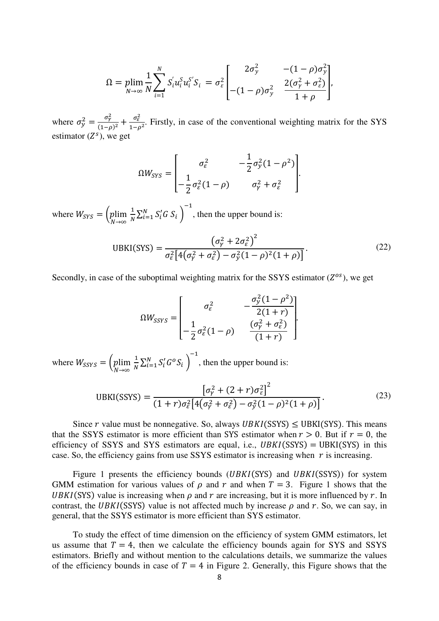$$
\Omega = \plim_{N \to \infty} \frac{1}{N} \sum_{i=1}^{N} S'_i u_i^S u_i^{S'} S_i = \sigma_{\varepsilon}^2 \begin{bmatrix} 2\sigma_y^2 & -(1-\rho)\sigma_y^2\\ -(1-\rho)\sigma_y^2 & \frac{2(\sigma_y^2 + \sigma_{\varepsilon}^2)}{1+\rho} \end{bmatrix},
$$

where  $\sigma_{\gamma}^2 = \frac{\sigma_{\gamma}^2}{\sigma_{\gamma}^2}$  $(1-\rho)^2$  $\sigma_{\varepsilon}^2$  $\frac{\sigma_{\varepsilon}}{1-\rho^2}$ . Firstly, in case of the conventional weighting matrix for the SYS estimator  $(Z^s)$ , we get

$$
\Omega W_{SYS} = \begin{bmatrix} \sigma_{\varepsilon}^2 & -\frac{1}{2}\sigma_{\varepsilon}^2(1-\rho^2) \\ -\frac{1}{2}\sigma_{\varepsilon}^2(1-\rho) & \sigma_{\gamma}^2 + \sigma_{\varepsilon}^2 \end{bmatrix}.
$$

where  $W_{SYS} = \left(\frac{p}{p}\right)$  $\boldsymbol{N}$  $\overline{1}$  $\frac{1}{N}\sum_{i=1}^N S'_i G S_i$  $\overline{\phantom{0}}$ , then the upper bound is:

$$
UBKI(SYS) = \frac{\left(\sigma_Y^2 + 2\sigma_\varepsilon^2\right)^2}{\sigma_\varepsilon^2 \left[4\left(\sigma_Y^2 + \sigma_\varepsilon^2\right) - \sigma_Y^2 (1 - \rho)^2 (1 + \rho)\right]}.
$$
\n(22)

 $\cdot$ 

Secondly, in case of the suboptimal weighting matrix for the SSYS estimator  $(Z^{os})$ , we get

$$
\Omega W_{SSYS} = \begin{bmatrix} \sigma_{\varepsilon}^2 & -\frac{\sigma_{\varepsilon}^2 (1 - \rho^2)}{2(1+r)} \\ -\frac{1}{2} \sigma_{\varepsilon}^2 (1-\rho) & \frac{(\sigma_{\varepsilon}^2 + \sigma_{\varepsilon}^2)}{(1+r)} \end{bmatrix}
$$

where  $W_{SSYS} = \left(p\right)$  $\overline{N}$  $\overline{1}$  $\frac{1}{N}\sum_{i=1}^N S_i' G^o S_i$  $\overline{\phantom{0}}$ , then the upper bound is:

$$
UBKI(SSYS) = \frac{\left[\sigma_{\gamma}^2 + (2+r)\sigma_{\varepsilon}^2\right]^2}{(1+r)\sigma_{\varepsilon}^2\left[4(\sigma_{\gamma}^2 + \sigma_{\varepsilon}^2) - \sigma_{\gamma}^2(1-\rho)^2(1+\rho)\right]}.
$$
(23)

Since r value must be nonnegative. So, always  $UBKI(SSYS) \leq UBKI(SSS)$ . This means that the SSYS estimator is more efficient than SYS estimator when  $r > 0$ . But if  $r = 0$ , the efficiency of SSYS and SYS estimators are equal, i.e.,  $UBKI(SSYS) = UBKI(SYS)$  in this case. So, the efficiency gains from use SSYS estimator is increasing when  $r$  is increasing.

Figure 1 presents the efficiency bounds ( $UBKI(SYS)$ ) and  $UBKI(SSYS)$ ) for system GMM estimation for various values of  $\rho$  and  $r$  and when  $T = 3$ . Figure 1 shows that the UBKI(SYS) value is increasing when  $\rho$  and  $r$  are increasing, but it is more influenced by  $r$ . In contrast, the UBKI(SSYS) value is not affected much by increase  $\rho$  and r. So, we can say, in general, that the SSYS estimator is more efficient than SYS estimator.

To study the effect of time dimension on the efficiency of system GMM estimators, let us assume that  $T = 4$ , then we calculate the efficiency bounds again for SYS and SSYS estimators. Briefly and without mention to the calculations details, we summarize the values of the efficiency bounds in case of  $T = 4$  in Figure 2. Generally, this Figure shows that the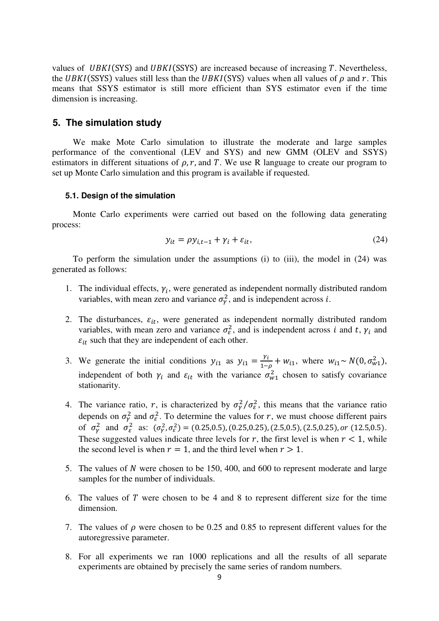values of  $UBKI(SYS)$  and  $UBKI(SSYS)$  are increased because of increasing  $T$ . Nevertheless, the UBKI(SSYS) values still less than the UBKI(SYS) values when all values of  $\rho$  and r. This means that SSYS estimator is still more efficient than SYS estimator even if the time dimension is increasing.

#### **5. The simulation study**

We make Mote Carlo simulation to illustrate the moderate and large samples performance of the conventional (LEV and SYS) and new GMM (OLEV and SSYS) estimators in different situations of  $\rho$ ,  $r$ , and T. We use R language to create our program to set up Monte Carlo simulation and this program is available if requested.

#### **5.1. Design of the simulation**

Monte Carlo experiments were carried out based on the following data generating process:

$$
y_{it} = \rho y_{i,t-1} + \gamma_i + \varepsilon_{it},\tag{24}
$$

To perform the simulation under the assumptions (i) to (iii), the model in (24) was generated as follows:

- 1. The individual effects,  $\gamma_i$ , were generated as independent normally distributed random variables, with mean zero and variance  $\sigma_{\gamma}^2$ , and is independent across *i*.
- 2. The disturbances,  $\varepsilon_{it}$ , were generated as independent normally distributed random variables, with mean zero and variance  $\sigma_{\varepsilon}^2$ , and is independent across i and t,  $\gamma_i$  and  $\varepsilon_{it}$  such that they are independent of each other.
- 3. We generate the initial conditions  $y_{i1}$  as  $y_{i1} = \frac{y}{1-z}$  $\frac{v_1}{1-\rho_1} + w_{i1}$ , where  $w_{i1} \sim N(0, \sigma_{w1}^2)$ , independent of both  $\gamma_i$  and  $\varepsilon_{it}$  with the variance  $\sigma_{w1}^2$  chosen to satisfy covariance stationarity.
- 4. The variance ratio, r, is characterized by  $\sigma_{\gamma}^2/\sigma_{\epsilon}^2$ , this means that the variance ratio depends on  $\sigma_{\gamma}^2$  and  $\sigma_{\epsilon}^2$ . To determine the values for r, we must choose different pairs of  $\sigma_{\gamma}^2$  and  $\sigma_{\varepsilon}^2$  as:  $(\sigma_{\gamma}^2, \sigma_{\varepsilon}^2) = (0.25, 0.5), (0.25, 0.25), (2.5, 0.5), (2.5, 0.25), or (12.5, 0.5).$ These suggested values indicate three levels for r, the first level is when  $r < 1$ , while the second level is when  $r = 1$ , and the third level when  $r > 1$ .
- 5. The values of N were chosen to be 150, 400, and 600 to represent moderate and large samples for the number of individuals.
- 6. The values of T were chosen to be 4 and 8 to represent different size for the time dimension.
- 7. The values of  $\rho$  were chosen to be 0.25 and 0.85 to represent different values for the autoregressive parameter.
- 8. For all experiments we ran 1000 replications and all the results of all separate experiments are obtained by precisely the same series of random numbers.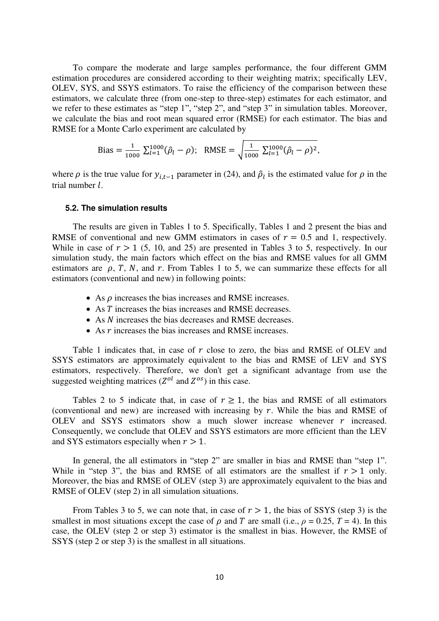To compare the moderate and large samples performance, the four different GMM estimation procedures are considered according to their weighting matrix; specifically LEV, OLEV, SYS, and SSYS estimators. To raise the efficiency of the comparison between these estimators, we calculate three (from one-step to three-step) estimates for each estimator, and we refer to these estimates as "step 1", "step 2", and "step 3" in simulation tables. Moreover, we calculate the bias and root mean squared error (RMSE) for each estimator. The bias and RMSE for a Monte Carlo experiment are calculated by

Bias = 
$$
\frac{1}{1000} \sum_{l=1}^{1000} (\hat{\rho}_l - \rho)
$$
; RMSE =  $\sqrt{\frac{1}{1000} \sum_{l=1}^{1000} (\hat{\rho}_l - \rho)^2}$ ,

where  $\rho$  is the true value for  $y_{i,t-1}$  parameter in (24), and  $\hat{\rho}_l$  is the estimated value for  $\rho$  in the trial number  $l$ .

#### **5.2. The simulation results**

The results are given in Tables 1 to 5. Specifically, Tables 1 and 2 present the bias and RMSE of conventional and new GMM estimators in cases of  $r = 0.5$  and 1, respectively. While in case of  $r > 1$  (5, 10, and 25) are presented in Tables 3 to 5, respectively. In our simulation study, the main factors which effect on the bias and RMSE values for all GMM estimators are  $\rho$ , T, N, and r. From Tables 1 to 5, we can summarize these effects for all estimators (conventional and new) in following points:

- As  $\rho$  increases the bias increases and RMSE increases.
- As T increases the bias increases and RMSE decreases.
- As *N* increases the bias decreases and RMSE decreases.
- As  *increases the bias increases and RMSE increases.*

Table 1 indicates that, in case of  $r$  close to zero, the bias and RMSE of OLEV and SSYS estimators are approximately equivalent to the bias and RMSE of LEV and SYS estimators, respectively. Therefore, we don't get a significant advantage from use the suggested weighting matrices ( $Z^{ol}$  and  $Z^{os}$ ) in this case.

Tables 2 to 5 indicate that, in case of  $r \ge 1$ , the bias and RMSE of all estimators (conventional and new) are increased with increasing by  $r$ . While the bias and RMSE of OLEV and SSYS estimators show a much slower increase whenever  $r$  increased. Consequently, we conclude that OLEV and SSYS estimators are more efficient than the LEV and SYS estimators especially when  $r > 1$ .

In general, the all estimators in "step 2" are smaller in bias and RMSE than "step 1". While in "step 3", the bias and RMSE of all estimators are the smallest if  $r > 1$  only. Moreover, the bias and RMSE of OLEV (step 3) are approximately equivalent to the bias and RMSE of OLEV (step 2) in all simulation situations.

From Tables 3 to 5, we can note that, in case of  $r > 1$ , the bias of SSYS (step 3) is the smallest in most situations except the case of  $\rho$  and T are small (i.e.,  $\rho = 0.25$ , T = 4). In this case, the OLEV (step 2 or step 3) estimator is the smallest in bias. However, the RMSE of SSYS (step 2 or step 3) is the smallest in all situations.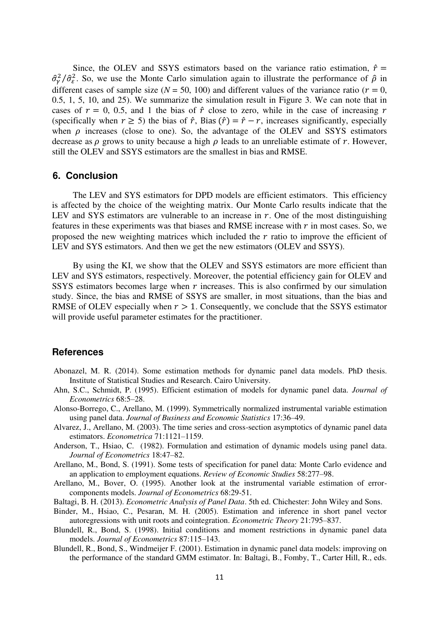Since, the OLEV and SSYS estimators based on the variance ratio estimation,  $\hat{r}$  =  $\frac{\partial^2 \rho}{\partial \xi^2}$ . So, we use the Monte Carlo simulation again to illustrate the performance of  $\hat{\rho}$  in different cases of sample size ( $N = 50$ , 100) and different values of the variance ratio ( $r = 0$ , 0.5, 1, 5, 10, and 25). We summarize the simulation result in Figure 3. We can note that in cases of  $r = 0, 0.5$ , and 1 the bias of  $\hat{r}$  close to zero, while in the case of increasing r (specifically when  $r \ge 5$ ) the bias of  $\hat{r}$ , Bias  $(\hat{r}) = \hat{r} - r$ , increases significantly, especially when  $\rho$  increases (close to one). So, the advantage of the OLEV and SSYS estimators decrease as  $\rho$  grows to unity because a high  $\rho$  leads to an unreliable estimate of r. However, still the OLEV and SSYS estimators are the smallest in bias and RMSE.

#### **6. Conclusion**

The LEV and SYS estimators for DPD models are efficient estimators. This efficiency is affected by the choice of the weighting matrix. Our Monte Carlo results indicate that the LEV and SYS estimators are vulnerable to an increase in  $r$ . One of the most distinguishing features in these experiments was that biases and RMSE increase with  $r$  in most cases. So, we proposed the new weighting matrices which included the  $r$  ratio to improve the efficient of LEV and SYS estimators. And then we get the new estimators (OLEV and SSYS).

By using the KI, we show that the OLEV and SSYS estimators are more efficient than LEV and SYS estimators, respectively. Moreover, the potential efficiency gain for OLEV and SSYS estimators becomes large when  $r$  increases. This is also confirmed by our simulation study. Since, the bias and RMSE of SSYS are smaller, in most situations, than the bias and RMSE of OLEV especially when  $r > 1$ . Consequently, we conclude that the SSYS estimator will provide useful parameter estimates for the practitioner.

#### **References**

- Abonazel, M. R. (2014). Some estimation methods for dynamic panel data models. PhD thesis. Institute of Statistical Studies and Research. Cairo University.
- Ahn, S.C., Schmidt, P. (1995). Efficient estimation of models for dynamic panel data. *Journal of Econometrics* 68:5–28.
- Alonso-Borrego, C., Arellano, M. (1999). Symmetrically normalized instrumental variable estimation using panel data. *Journal of Business and Economic Statistics* 17:36–49.
- Alvarez, J., Arellano, M. (2003). The time series and cross-section asymptotics of dynamic panel data estimators. *Econometrica* 71:1121–1159.
- Anderson, T., Hsiao, C. (1982). Formulation and estimation of dynamic models using panel data. *Journal of Econometrics* 18:47–82.
- Arellano, M., Bond, S. (1991). Some tests of specification for panel data: Monte Carlo evidence and an application to employment equations. *Review of Economic Studies* 58:277–98.
- Arellano, M., Bover, O. (1995). Another look at the instrumental variable estimation of errorcomponents models. *Journal of Econometrics* 68:29-51.
- Baltagi, B. H. (2013). *Econometric Analysis of Panel Data*. 5th ed. Chichester: John Wiley and Sons.
- Binder, M., Hsiao, C., Pesaran, M. H. (2005). Estimation and inference in short panel vector autoregressions with unit roots and cointegration. *Econometric Theory* 21:795–837.
- Blundell, R., Bond, S. (1998). Initial conditions and moment restrictions in dynamic panel data models. *Journal of Econometrics* 87:115–143.
- Blundell, R., Bond, S., Windmeijer F. (2001). Estimation in dynamic panel data models: improving on the performance of the standard GMM estimator. In: Baltagi, B., Fomby, T., Carter Hill, R., eds.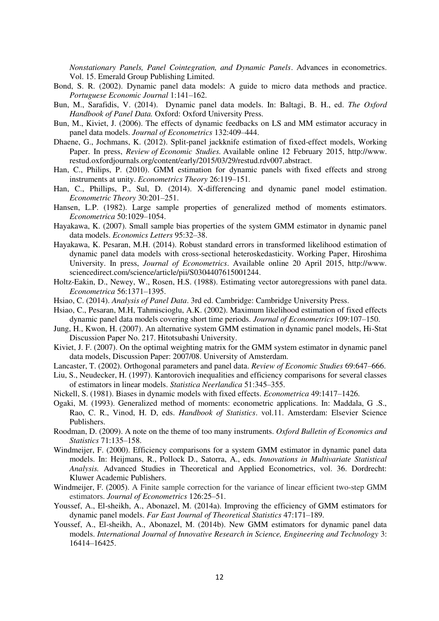*Nonstationary Panels, Panel Cointegration, and Dynamic Panels*. Advances in econometrics. Vol. 15. Emerald Group Publishing Limited.

- Bond, S. R. (2002). Dynamic panel data models: A guide to micro data methods and practice. *Portuguese Economic Journal* 1:141–162.
- Bun, M., Sarafidis, V. (2014). Dynamic panel data models. In: Baltagi, B. H., ed. *The Oxford Handbook of Panel Data.* Oxford: Oxford University Press.
- Bun, M., Kiviet, J. (2006). The effects of dynamic feedbacks on LS and MM estimator accuracy in panel data models. *Journal of Econometrics* 132:409–444.
- Dhaene, G., Jochmans, K. (2012). Split-panel jackknife estimation of fixed-effect models, Working Paper. In press, *Review of Economic Studies.* Available online 12 February 2015, http://www. restud.oxfordjournals.org/content/early/2015/03/29/restud.rdv007.abstract.
- Han, C., Philips, P. (2010). GMM estimation for dynamic panels with fixed effects and strong instruments at unity. *Econometrics Theory* 26:119–151.
- Han, C., Phillips, P., Sul, D. (2014). X-differencing and dynamic panel model estimation. *Econometric Theory* 30:201–251.
- Hansen, L.P. (1982). Large sample properties of generalized method of moments estimators. *Econometrica* 50:1029–1054.
- Hayakawa, K. (2007). Small sample bias properties of the system GMM estimator in dynamic panel data models. *Economics Letters* 95:32–38.
- Hayakawa, K. Pesaran, M.H. (2014). Robust standard errors in transformed likelihood estimation of dynamic panel data models with cross-sectional heteroskedasticity. Working Paper, Hiroshima University. In press, *Journal of Econometrics*. Available online 20 April 2015, http://www. sciencedirect.com/science/article/pii/S0304407615001244.
- Holtz-Eakin, D., Newey, W., Rosen, H.S. (1988). Estimating vector autoregressions with panel data. *Econometrica* 56:1371–1395.
- Hsiao, C. (2014). *Analysis of Panel Data*. 3rd ed. Cambridge: Cambridge University Press.
- Hsiao, C., Pesaran, M.H, Tahmiscioglu, A.K. (2002). Maximum likelihood estimation of fixed effects dynamic panel data models covering short time periods. *Journal of Econometrics* 109:107–150.
- Jung, H., Kwon, H. (2007). An alternative system GMM estimation in dynamic panel models, Hi-Stat Discussion Paper No. 217. Hitotsubashi University.
- Kiviet, J. F. (2007). On the optimal weighting matrix for the GMM system estimator in dynamic panel data models, Discussion Paper: 2007/08. University of Amsterdam.
- Lancaster, T. (2002). Orthogonal parameters and panel data. *Review of Economic Studies* 69:647–666.
- Liu, S., Neudecker, H. (1997). Kantorovich inequalities and efficiency comparisons for several classes of estimators in linear models. *Statistica Neerlandica* 51:345–355.
- Nickell, S. (1981). Biases in dynamic models with fixed effects. *Econometrica* 49:1417–1426.
- Ogaki, M. (1993). Generalized method of moments: econometric applications. In: Maddala, G .S., Rao, C. R., Vinod, H. D, eds. *Handbook of Statistics*. vol.11. Amsterdam: Elsevier Science Publishers.
- Roodman, D. (2009). A note on the theme of too many instruments. *Oxford Bulletin of Economics and Statistics* 71:135–158.
- Windmeijer, F. (2000). Efficiency comparisons for a system GMM estimator in dynamic panel data models. In: Heijmans, R., Pollock D., Satorra, A., eds. *Innovations in Multivariate Statistical Analysis.* Advanced Studies in Theoretical and Applied Econometrics, vol. 36. Dordrecht: Kluwer Academic Publishers.
- Windmeijer, F. (2005). A Finite sample correction for the variance of linear efficient two-step GMM estimators. *Journal of Econometrics* 126:25–51.
- Youssef, A., El-sheikh, A., Abonazel, M. (2014a). Improving the efficiency of GMM estimators for dynamic panel models. *Far East Journal of Theoretical Statistics* 47:171–189.
- Youssef, A., El-sheikh, A., Abonazel, M. (2014b). New GMM estimators for dynamic panel data models. *International Journal of Innovative Research in Science, Engineering and Technology* 3: 16414–16425.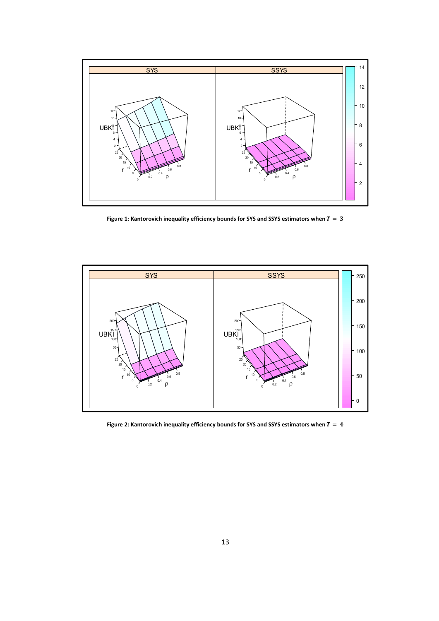

Figure 1: Kantorovich inequality efficiency bounds for SYS and SSYS estimators when  $T = 3$ 



Figure 2: Kantorovich inequality efficiency bounds for SYS and SSYS estimators when  $\bar{T}=4$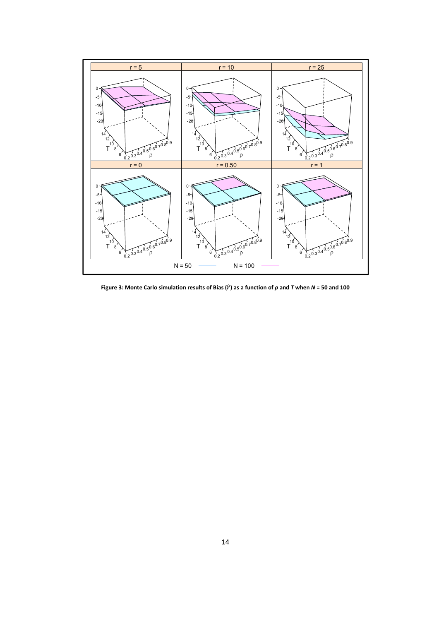

Figure 3: Monte Carlo simulation results of Bias ( $\hat{r}$ ) as a function of  $\rho$  and  $T$  when  $N$  = 50 and 100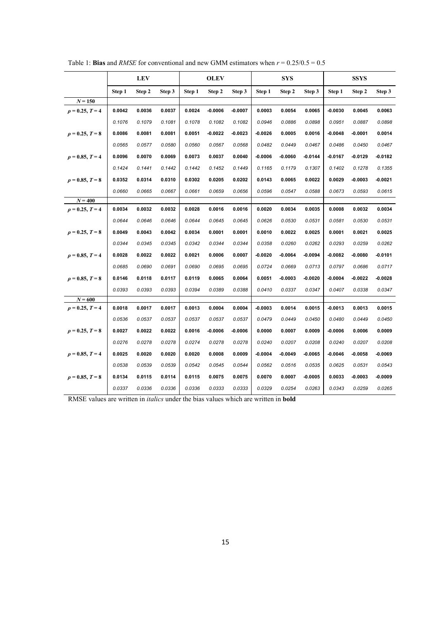|                      |        | <b>LEV</b> |        |        | <b>OLEV</b> |           |           | <b>SYS</b> |           |           | <b>SSYS</b> |           |
|----------------------|--------|------------|--------|--------|-------------|-----------|-----------|------------|-----------|-----------|-------------|-----------|
|                      | Step 1 | Step 2     | Step 3 | Step 1 | Step 2      | Step 3    | Step 1    | Step 2     | Step 3    | Step 1    | Step 2      | Step 3    |
| $N = 150$            |        |            |        |        |             |           |           |            |           |           |             |           |
| $\rho = 0.25, T = 4$ | 0.0042 | 0.0036     | 0.0037 | 0.0024 | $-0.0006$   | $-0.0007$ | 0.0003    | 0.0054     | 0.0065    | $-0.0030$ | 0.0045      | 0.0063    |
|                      | 0.1076 | 0.1079     | 0.1081 | 0.1078 | 0.1082      | 0.1082    | 0.0946    | 0.0886     | 0.0898    | 0.0951    | 0.0887      | 0.0898    |
| $\rho = 0.25, T = 8$ | 0.0086 | 0.0081     | 0.0081 | 0.0051 | $-0.0022$   | $-0.0023$ | -0.0026   | 0.0005     | 0.0016    | $-0.0048$ | $-0.0001$   | 0.0014    |
|                      | 0.0565 | 0.0577     | 0.0580 | 0.0560 | 0.0567      | 0.0568    | 0.0482    | 0.0449     | 0.0467    | 0.0486    | 0.0450      | 0.0467    |
| $\rho = 0.85, T = 4$ | 0.0096 | 0.0070     | 0.0069 | 0.0073 | 0.0037      | 0.0040    | -0.0006   | $-0.0060$  | -0.0144   | $-0.0167$ | $-0.0129$   | $-0.0182$ |
|                      | 0.1424 | 0.1441     | 0.1442 | 0.1442 | 0.1452      | 0.1449    | 0.1165    | 0.1179     | 0.1307    | 0.1402    | 0.1278      | 0.1355    |
| $\rho = 0.85, T = 8$ | 0.0352 | 0.0314     | 0.0310 | 0.0302 | 0.0205      | 0.0202    | 0.0143    | 0.0065     | 0.0022    | 0.0029    | $-0.0003$   | -0.0021   |
|                      | 0.0660 | 0.0665     | 0.0667 | 0.0661 | 0.0659      | 0.0656    | 0.0596    | 0.0547     | 0.0588    | 0.0673    | 0.0593      | 0.0615    |
| $N = 400$            |        |            |        |        |             |           |           |            |           |           |             |           |
| $\rho = 0.25, T = 4$ | 0.0034 | 0.0032     | 0.0032 | 0.0028 | 0.0016      | 0.0016    | 0.0020    | 0.0034     | 0.0035    | 0.0008    | 0.0032      | 0.0034    |
|                      | 0.0644 | 0.0646     | 0.0646 | 0.0644 | 0.0645      | 0.0645    | 0.0626    | 0.0530     | 0.0531    | 0.0581    | 0.0530      | 0.0531    |
| $\rho = 0.25, T = 8$ | 0.0049 | 0.0043     | 0.0042 | 0.0034 | 0.0001      | 0.0001    | 0.0010    | 0.0022     | 0.0025    | 0.0001    | 0.0021      | 0.0025    |
|                      | 0.0344 | 0.0345     | 0.0345 | 0.0342 | 0.0344      | 0.0344    | 0.0358    | 0.0260     | 0.0262    | 0.0293    | 0.0259      | 0.0262    |
| $\rho = 0.85, T = 4$ | 0.0028 | 0.0022     | 0.0022 | 0.0021 | 0.0006      | 0.0007    | $-0.0020$ | $-0.0064$  | $-0.0094$ | $-0.0082$ | $-0.0080$   | $-0.0101$ |
|                      | 0.0685 | 0.0690     | 0.0691 | 0.0690 | 0.0695      | 0.0695    | 0.0724    | 0.0669     | 0.0713    | 0.0797    | 0.0686      | 0.0717    |
| $\rho = 0.85, T = 8$ | 0.0146 | 0.0118     | 0.0117 | 0.0119 | 0.0065      | 0.0064    | 0.0051    | $-0.0003$  | $-0.0020$ | $-0.0004$ | $-0.0022$   | $-0.0028$ |
|                      | 0.0393 | 0.0393     | 0.0393 | 0.0394 | 0.0389      | 0.0388    | 0.0410    | 0.0337     | 0.0347    | 0.0407    | 0.0338      | 0.0347    |
| $N = 600$            |        |            |        |        |             |           |           |            |           |           |             |           |
| $\rho = 0.25, T = 4$ | 0.0018 | 0.0017     | 0.0017 | 0.0013 | 0.0004      | 0.0004    | $-0.0003$ | 0.0014     | 0.0015    | $-0.0013$ | 0.0013      | 0.0015    |
|                      | 0.0536 | 0.0537     | 0.0537 | 0.0537 | 0.0537      | 0.0537    | 0.0479    | 0.0449     | 0.0450    | 0.0480    | 0.0449      | 0.0450    |
| $\rho = 0.25, T = 8$ | 0.0027 | 0.0022     | 0.0022 | 0.0016 | $-0.0006$   | $-0.0006$ | 0.0000    | 0.0007     | 0.0009    | $-0.0006$ | 0.0006      | 0.0009    |
|                      | 0.0276 | 0.0278     | 0.0278 | 0.0274 | 0.0278      | 0.0278    | 0.0240    | 0.0207     | 0.0208    | 0.0240    | 0.0207      | 0.0208    |
| $\rho = 0.85, T = 4$ | 0.0025 | 0.0020     | 0.0020 | 0.0020 | 0.0008      | 0.0009    | $-0.0004$ | $-0.0049$  | $-0.0065$ | $-0.0046$ | $-0.0058$   | $-0.0069$ |
|                      | 0.0538 | 0.0539     | 0.0539 | 0.0542 | 0.0545      | 0.0544    | 0.0562    | 0.0516     | 0.0535    | 0.0625    | 0.0531      | 0.0543    |
| $\rho = 0.85, T = 8$ | 0.0134 | 0.0115     | 0.0114 | 0.0115 | 0.0075      | 0.0075    | 0.0070    | 0.0007     | $-0.0005$ | 0.0033    | $-0.0003$   | $-0.0009$ |
|                      | 0.0337 | 0.0336     | 0.0336 | 0.0336 | 0.0333      | 0.0333    | 0.0329    | 0.0254     | 0.0263    | 0.0343    | 0.0259      | 0.0265    |

Table 1: **Bias** and *RMSE* for conventional and new GMM estimators when  $r = 0.25/0.5 = 0.5$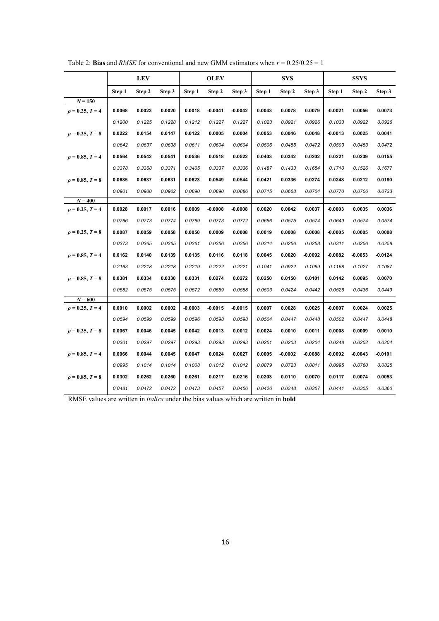|                      |        | <b>LEV</b> |        |           | <b>OLEV</b> |           |        | <b>SYS</b> |           |           | <b>SSYS</b> |           |
|----------------------|--------|------------|--------|-----------|-------------|-----------|--------|------------|-----------|-----------|-------------|-----------|
|                      | Step 1 | Step 2     | Step 3 | Step 1    | Step 2      | Step 3    | Step 1 | Step 2     | Step 3    | Step 1    | Step 2      | Step 3    |
| $N = 150$            |        |            |        |           |             |           |        |            |           |           |             |           |
| $\rho = 0.25, T = 4$ | 0.0068 | 0.0023     | 0.0020 | 0.0018    | $-0.0041$   | $-0.0042$ | 0.0043 | 0.0078     | 0.0079    | $-0.0021$ | 0.0056      | 0.0073    |
|                      | 0.1200 | 0.1225     | 0.1228 | 0.1212    | 0.1227      | 0.1227    | 0.1023 | 0.0921     | 0.0926    | 0.1033    | 0.0922      | 0.0926    |
| $\rho = 0.25, T = 8$ | 0.0222 | 0.0154     | 0.0147 | 0.0122    | 0.0005      | 0.0004    | 0.0053 | 0.0046     | 0.0048    | $-0.0013$ | 0.0025      | 0.0041    |
|                      | 0.0642 | 0.0637     | 0.0638 | 0.0611    | 0.0604      | 0.0604    | 0.0506 | 0.0455     | 0.0472    | 0.0503    | 0.0453      | 0.0472    |
| $\rho = 0.85, T = 4$ | 0.0564 | 0.0542     | 0.0541 | 0.0536    | 0.0518      | 0.0522    | 0.0403 | 0.0342     | 0.0202    | 0.0221    | 0.0239      | 0.0155    |
|                      | 0.3378 | 0.3368     | 0.3371 | 0.3405    | 0.3337      | 0.3336    | 0.1487 | 0.1433     | 0.1654    | 0.1710    | 0.1526      | 0.1677    |
| $\rho = 0.85, T = 8$ | 0.0685 | 0.0637     | 0.0631 | 0.0623    | 0.0549      | 0.0544    | 0.0421 | 0.0336     | 0.0274    | 0.0248    | 0.0212      | 0.0180    |
|                      | 0.0901 | 0.0900     | 0.0902 | 0.0890    | 0.0890      | 0.0886    | 0.0715 | 0.0668     | 0.0704    | 0.0770    | 0.0706      | 0.0733    |
| $N = 400$            |        |            |        |           |             |           |        |            |           |           |             |           |
| $\rho = 0.25, T = 4$ | 0.0028 | 0.0017     | 0.0016 | 0.0009    | $-0.0008$   | $-0.0008$ | 0.0020 | 0.0042     | 0.0037    | $-0.0003$ | 0.0035      | 0.0036    |
|                      | 0.0766 | 0.0773     | 0.0774 | 0.0769    | 0.0773      | 0.0772    | 0.0656 | 0.0575     | 0.0574    | 0.0649    | 0.0574      | 0.0574    |
| $\rho = 0.25, T = 8$ | 0.0087 | 0.0059     | 0.0058 | 0.0050    | 0.0009      | 0.0008    | 0.0019 | 0.0008     | 0.0008    | $-0.0005$ | 0.0005      | 0.0008    |
|                      | 0.0373 | 0.0365     | 0.0365 | 0.0361    | 0.0356      | 0.0356    | 0.0314 | 0.0256     | 0.0258    | 0.0311    | 0.0256      | 0.0258    |
| $\rho = 0.85, T = 4$ | 0.0162 | 0.0140     | 0.0139 | 0.0135    | 0.0116      | 0.0118    | 0.0045 | 0.0020     | $-0.0092$ | $-0.0082$ | $-0.0053$   | $-0.0124$ |
|                      | 0.2163 | 0.2218     | 0.2218 | 0.2219    | 0.2222      | 0.2221    | 0.1041 | 0.0922     | 0.1069    | 0.1168    | 0.1027      | 0.1087    |
| $\rho = 0.85, T = 8$ | 0.0381 | 0.0334     | 0.0330 | 0.0331    | 0.0274      | 0.0272    | 0.0250 | 0.0150     | 0.0101    | 0.0142    | 0.0095      | 0.0070    |
|                      | 0.0582 | 0.0575     | 0.0575 | 0.0572    | 0.0559      | 0.0558    | 0.0503 | 0.0424     | 0.0442    | 0.0526    | 0.0436      | 0.0449    |
| $N = 600$            |        |            |        |           |             |           |        |            |           |           |             |           |
| $\rho = 0.25, T = 4$ | 0.0010 | 0.0002     | 0.0002 | $-0.0003$ | $-0.0015$   | $-0.0015$ | 0.0007 | 0.0028     | 0.0025    | $-0.0007$ | 0.0024      | 0.0025    |
|                      | 0.0594 | 0.0599     | 0.0599 | 0.0596    | 0.0598      | 0.0598    | 0.0504 | 0.0447     | 0.0448    | 0.0502    | 0.0447      | 0.0448    |
| $\rho = 0.25, T = 8$ | 0.0067 | 0.0046     | 0.0045 | 0.0042    | 0.0013      | 0.0012    | 0.0024 | 0.0010     | 0.0011    | 0.0008    | 0.0009      | 0.0010    |
|                      | 0.0301 | 0.0297     | 0.0297 | 0.0293    | 0.0293      | 0.0293    | 0.0251 | 0.0203     | 0.0204    | 0.0248    | 0.0202      | 0.0204    |
| $\rho = 0.85, T = 4$ | 0.0066 | 0.0044     | 0.0045 | 0.0047    | 0.0024      | 0.0027    | 0.0005 | $-0.0002$  | $-0.0088$ | $-0.0092$ | $-0.0043$   | $-0.0101$ |
|                      | 0.0995 | 0.1014     | 0.1014 | 0.1008    | 0.1012      | 0.1012    | 0.0879 | 0.0723     | 0.0811    | 0.0995    | 0.0760      | 0.0825    |
| $\rho = 0.85, T = 8$ | 0.0302 | 0.0262     | 0.0260 | 0.0261    | 0.0217      | 0.0216    | 0.0203 | 0.0110     | 0.0070    | 0.0117    | 0.0074      | 0.0053    |
|                      | 0.0481 | 0.0472     | 0.0472 | 0.0473    | 0.0457      | 0.0456    | 0.0426 | 0.0348     | 0.0357    | 0.0441    | 0.0355      | 0.0360    |

Table 2: **Bias** and *RMSE* for conventional and new GMM estimators when  $r = 0.25/0.25 = 1$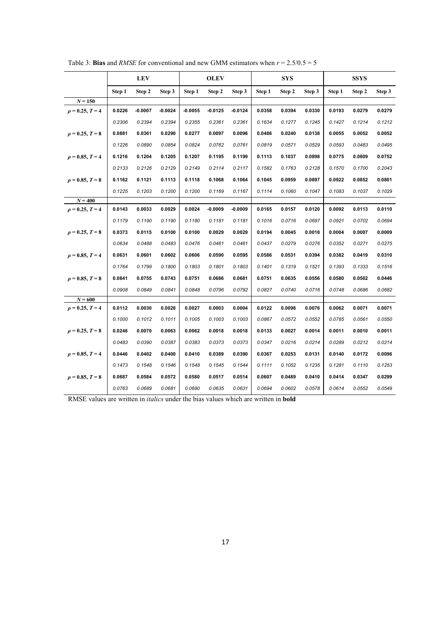|                      |        | <b>LEV</b> |           |           | <b>OLEV</b> |           |        | <b>SYS</b> |        |        | <b>SSYS</b> |        |
|----------------------|--------|------------|-----------|-----------|-------------|-----------|--------|------------|--------|--------|-------------|--------|
|                      | Step 1 | Step 2     | Step 3    | Step 1    | Step 2      | Step 3    | Step 1 | Step 2     | Step 3 | Step 1 | Step 2      | Step 3 |
| $N = 150$            |        |            |           |           |             |           |        |            |        |        |             |        |
| $\rho = 0.25, T = 4$ | 0.0226 | $-0.0007$  | $-0.0024$ | $-0.0055$ | $-0.0125$   | $-0.0124$ | 0.0358 | 0.0394     | 0.0330 | 0.0193 | 0.0279      | 0.0279 |
|                      | 0.2306 | 0.2394     | 0.2394    | 0.2355    | 0.2361      | 0.2361    | 0.1634 | 0.1277     | 0.1245 | 0.1427 | 0.1214      | 0.1212 |
| $\rho = 0.25, T = 8$ | 0.0881 | 0.0361     | 0.0290    | 0.0277    | 0.0097      | 0.0096    | 0.0486 | 0.0240     | 0.0138 | 0.0055 | 0.0052      | 0.0052 |
|                      | 0.1226 | 0.0890     | 0.0854    | 0.0824    | 0.0762      | 0.0761    | 0.0819 | 0.0571     | 0.0529 | 0.0593 | 0.0483      | 0.0495 |
| $\rho = 0.85, T = 4$ | 0.1216 | 0.1204     | 0.1205    | 0.1207    | 0.1195      | 0.1199    | 0.1113 | 0.1037     | 0.0898 | 0.0775 | 0.0809      | 0.0752 |
|                      | 0.2133 | 0.2126     | 0.2129    | 0.2149    | 0.2114      | 0.2117    | 0.1582 | 0.1763     | 0.2128 | 0.1570 | 0.1700      | 0.2043 |
| $\rho = 0.85, T = 8$ | 0.1162 | 0.1121     | 0.1113    | 0.1118    | 0.1068      | 0.1064    | 0.1045 | 0.0959     | 0.0897 | 0.0922 | 0.0852      | 0.0801 |
|                      | 0.1225 | 0.1203     | 0.1200    | 0.1200    | 0.1169      | 0.1167    | 0.1114 | 0.1060     | 0.1047 | 0.1083 | 0.1037      | 0.1029 |
| $N = 400$            |        |            |           |           |             |           |        |            |        |        |             |        |
| $\rho = 0.25, T = 4$ | 0.0143 | 0.0033     | 0.0029    | 0.0024    | $-0.0009$   | $-0.0009$ | 0.0165 | 0.0157     | 0.0120 | 0.0092 | 0.0113      | 0.0110 |
|                      | 0.1179 | 0.1190     | 0.1190    | 0.1180    | 0.1181      | 0.1181    | 0.1016 | 0.0716     | 0.0697 | 0.0921 | 0.0702      | 0.0694 |
| $\rho = 0.25, T = 8$ | 0.0373 | 0.0115     | 0.0100    | 0.0100    | 0.0029      | 0.0029    | 0.0194 | 0.0045     | 0.0018 | 0.0004 | 0.0007      | 0.0009 |
|                      | 0.0634 | 0.0488     | 0.0483    | 0.0476    | 0.0461      | 0.0461    | 0.0437 | 0.0279     | 0.0276 | 0.0352 | 0.0271      | 0.0275 |
| $\rho = 0.85, T = 4$ | 0.0631 | 0.0601     | 0.0602    | 0.0606    | 0.0590      | 0.0595    | 0.0586 | 0.0531     | 0.0394 | 0.0382 | 0.0419      | 0.0310 |
|                      | 0.1764 | 0.1799     | 0.1800    | 0.1803    | 0.1801      | 0.1803    | 0.1401 | 0.1319     | 0.1521 | 0.1393 | 0.1333      | 0.1516 |
| $\rho = 0.85, T = 8$ | 0.0841 | 0.0755     | 0.0743    | 0.0751    | 0.0686      | 0.0681    | 0.0751 | 0.0635     | 0.0556 | 0.0580 | 0.0502      | 0.0446 |
|                      | 0.0908 | 0.0849     | 0.0841    | 0.0848    | 0.0796      | 0.0792    | 0.0827 | 0.0740     | 0.0716 | 0.0748 | 0.0686      | 0.0682 |
| $N = 600$            |        |            |           |           |             |           |        |            |        |        |             |        |
| $\rho = 0.25, T = 4$ | 0.0112 | 0.0030     | 0.0028    | 0.0027    | 0.0003      | 0.0004    | 0.0122 | 0.0098     | 0.0076 | 0.0062 | 0.0071      | 0.0071 |
|                      | 0.1000 | 0.1012     | 0.1011    | 0.1005    | 0.1003      | 0.1003    | 0.0867 | 0.0572     | 0.0552 | 0.0785 | 0.0561      | 0.0550 |
| $\rho = 0.25, T = 8$ | 0.0246 | 0.0070     | 0.0063    | 0.0062    | 0.0018      | 0.0018    | 0.0133 | 0.0027     | 0.0014 | 0.0011 | 0.0010      | 0.0011 |
|                      | 0.0483 | 0.0390     | 0.0387    | 0.0383    | 0.0373      | 0.0373    | 0.0347 | 0.0216     | 0.0214 | 0.0289 | 0.0212      | 0.0214 |
| $\rho = 0.85, T = 4$ | 0.0446 | 0.0402     | 0.0400    | 0.0410    | 0.0389      | 0.0390    | 0.0367 | 0.0253     | 0.0131 | 0.0140 | 0.0172      | 0.0096 |
|                      | 0.1473 | 0.1548     | 0.1546    | 0.1548    | 0.1545      | 0.1544    | 0.1111 | 0.1052     | 0.1235 | 0.1281 | 0.1110      | 0.1253 |
| $\rho = 0.85, T = 8$ | 0.0687 | 0.0584     | 0.0572    | 0.0580    | 0.0517      | 0.0514    | 0.0607 | 0.0489     | 0.0410 | 0.0414 | 0.0347      | 0.0299 |
|                      | 0.0763 | 0.0689     | 0.0681    | 0.0690    | 0.0635      | 0.0631    | 0.0694 | 0.0602     | 0.0578 | 0.0614 | 0.0552      | 0.0549 |

Table 3: **Bias** and *RMSE* for conventional and new GMM estimators when  $r = 2.5/0.5 = 5$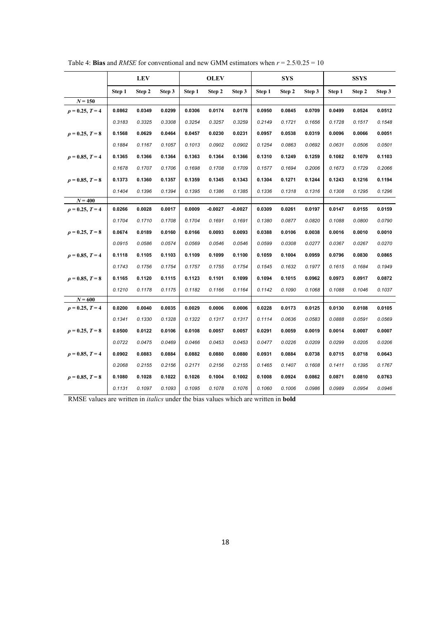|                      |        | <b>LEV</b> |        |        | <b>OLEV</b> |           |        | <b>SYS</b> |        |        | <b>SSYS</b> |        |
|----------------------|--------|------------|--------|--------|-------------|-----------|--------|------------|--------|--------|-------------|--------|
|                      | Step 1 | Step 2     | Step 3 | Step 1 | Step 2      | Step 3    | Step 1 | Step 2     | Step 3 | Step 1 | Step 2      | Step 3 |
| $N = 150$            |        |            |        |        |             |           |        |            |        |        |             |        |
| $\rho = 0.25, T = 4$ | 0.0862 | 0.0349     | 0.0299 | 0.0306 | 0.0174      | 0.0178    | 0.0950 | 0.0845     | 0.0709 | 0.0499 | 0.0524      | 0.0512 |
|                      | 0.3183 | 0.3325     | 0.3308 | 0.3254 | 0.3257      | 0.3259    | 0.2149 | 0.1721     | 0.1656 | 0.1728 | 0.1517      | 0.1548 |
| $\rho = 0.25, T = 8$ | 0.1568 | 0.0629     | 0.0464 | 0.0457 | 0.0230      | 0.0231    | 0.0957 | 0.0538     | 0.0319 | 0.0096 | 0.0066      | 0.0051 |
|                      | 0.1884 | 0.1167     | 0.1057 | 0.1013 | 0.0902      | 0.0902    | 0.1254 | 0.0863     | 0.0692 | 0.0631 | 0.0506      | 0.0501 |
| $\rho = 0.85, T = 4$ | 0.1365 | 0.1366     | 0.1364 | 0.1363 | 0.1364      | 0.1366    | 0.1310 | 0.1249     | 0.1259 | 0.1082 | 0.1079      | 0.1103 |
|                      | 0.1678 | 0.1707     | 0.1706 | 0.1698 | 0.1708      | 0.1709    | 0.1577 | 0.1694     | 0.2006 | 0.1673 | 0.1729      | 0.2066 |
| $\rho = 0.85, T = 8$ | 0.1373 | 0.1360     | 0.1357 | 0.1359 | 0.1345      | 0.1343    | 0.1304 | 0.1271     | 0.1244 | 0.1243 | 0.1216      | 0.1194 |
|                      | 0.1404 | 0.1396     | 0.1394 | 0.1395 | 0.1386      | 0.1385    | 0.1336 | 0.1318     | 0.1316 | 0.1308 | 0.1295      | 0.1296 |
| $N = 400$            |        |            |        |        |             |           |        |            |        |        |             |        |
| $\rho = 0.25, T = 4$ | 0.0266 | 0.0028     | 0.0017 | 0.0009 | $-0.0027$   | $-0.0027$ | 0.0309 | 0.0261     | 0.0197 | 0.0147 | 0.0155      | 0.0159 |
|                      | 0.1704 | 0.1710     | 0.1708 | 0.1704 | 0.1691      | 0.1691    | 0.1380 | 0.0877     | 0.0820 | 0.1088 | 0.0800      | 0.0790 |
| $\rho = 0.25, T = 8$ | 0.0674 | 0.0189     | 0.0160 | 0.0166 | 0.0093      | 0.0093    | 0.0388 | 0.0106     | 0.0038 | 0.0016 | 0.0010      | 0.0010 |
|                      | 0.0915 | 0.0586     | 0.0574 | 0.0569 | 0.0546      | 0.0546    | 0.0599 | 0.0308     | 0.0277 | 0.0367 | 0.0267      | 0.0270 |
| $\rho = 0.85, T = 4$ | 0.1118 | 0.1105     | 0.1103 | 0.1109 | 0.1099      | 0.1100    | 0.1059 | 0.1004     | 0.0959 | 0.0796 | 0.0830      | 0.0865 |
|                      | 0.1743 | 0.1756     | 0.1754 | 0.1757 | 0.1755      | 0.1754    | 0.1545 | 0.1632     | 0.1977 | 0.1615 | 0.1684      | 0.1949 |
| $\rho = 0.85, T = 8$ | 0.1165 | 0.1120     | 0.1115 | 0.1123 | 0.1101      | 0.1099    | 0.1094 | 0.1015     | 0.0962 | 0.0973 | 0.0917      | 0.0872 |
|                      | 0.1210 | 0.1178     | 0.1175 | 0.1182 | 0.1166      | 0.1164    | 0.1142 | 0.1090     | 0.1068 | 0.1088 | 0.1046      | 0.1037 |
| $N = 600$            |        |            |        |        |             |           |        |            |        |        |             |        |
| $\rho = 0.25, T = 4$ | 0.0200 | 0.0040     | 0.0035 | 0.0029 | 0.0006      | 0.0006    | 0.0228 | 0.0173     | 0.0125 | 0.0130 | 0.0108      | 0.0105 |
|                      | 0.1341 | 0.1330     | 0.1328 | 0.1322 | 0.1317      | 0.1317    | 0.1114 | 0.0636     | 0.0583 | 0.0888 | 0.0591      | 0.0569 |
| $\rho = 0.25, T = 8$ | 0.0500 | 0.0122     | 0.0106 | 0.0108 | 0.0057      | 0.0057    | 0.0291 | 0.0059     | 0.0019 | 0.0014 | 0.0007      | 0.0007 |
|                      | 0.0722 | 0.0475     | 0.0469 | 0.0466 | 0.0453      | 0.0453    | 0.0477 | 0.0226     | 0.0209 | 0.0299 | 0.0205      | 0.0206 |
| $\rho = 0.85, T = 4$ | 0.0902 | 0.0883     | 0.0884 | 0.0882 | 0.0880      | 0.0880    | 0.0931 | 0.0884     | 0.0738 | 0.0715 | 0.0718      | 0.0643 |
|                      | 0.2068 | 0.2155     | 0.2156 | 0.2171 | 0.2156      | 0.2155    | 0.1465 | 0.1407     | 0.1608 | 0.1411 | 0.1395      | 0.1767 |
| $\rho = 0.85, T = 8$ | 0.1080 | 0.1028     | 0.1022 | 0.1026 | 0.1004      | 0.1002    | 0.1008 | 0.0924     | 0.0862 | 0.0871 | 0.0810      | 0.0763 |
|                      | 0.1131 | 0.1097     | 0.1093 | 0.1095 | 0.1078      | 0.1076    | 0.1060 | 0.1006     | 0.0986 | 0.0989 | 0.0954      | 0.0946 |

Table 4: **Bias** and *RMSE* for conventional and new GMM estimators when  $r = 2.5/0.25 = 10$